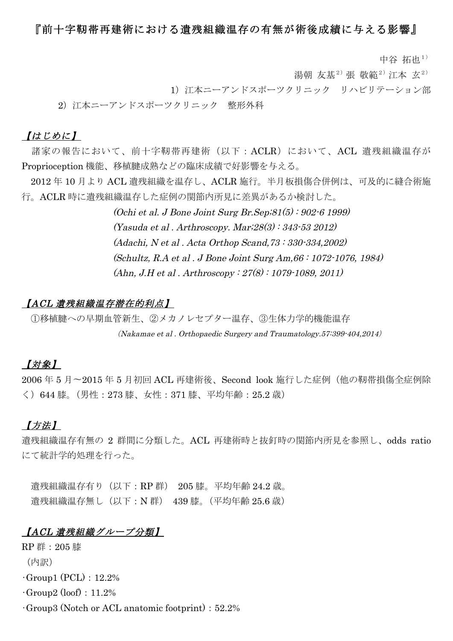### 『前十字靭帯再建術における遺残組織温存の有無が術後成績に与える影響』

中谷 拓也1)

湯朝 友基<sup>2)</sup>張 敬範<sup>2)</sup> 江本 玄<sup>2)</sup>

1)江本ニーアンドスポーツクリニック リハビリテーション部

2)江本ニーアンドスポーツクリニック 整形外科

### 【はじめに】

諸家の報告において、前十字靭帯再建術(以下:ACLR)において、ACL 遺残組織温存が Proprioception 機能、移植腱成熟などの臨床成績で好影響を与える。

2012 年 10 月より ACL 遺残組織を温存し、ACLR 施行。半月板損傷合併例は、可及的に縫合術施 行。ACLR 時に遺残組織温存した症例の関節内所見に差異があるか検討した。

> (Ochi et al. J Bone Joint Surg Br.Sep;81(5) : 902-6 1999) (Yasuda et al . Arthroscopy. Mar;28(3) : 343-53 2012) (Adachi, N et al . Acta Orthop Scand,73 : 330-334,2002) (Schultz, R.A et al . J Bone Joint Surg Am,66 : 1072-1076, 1984) (Ahn, J.H et al . Arthroscopy : 27(8) : 1079-1089, 2011)

#### 【ACL 遺残組織温存潜在的利点】

①移植腱への早期血管新生、②メカノレセプター温存、③生体力学的機能温存 (Nakamae et al . Orthopaedic Surgery and Traumatology.57:399-404,2014)

### 【対象】

2006 年 5 月〜2015 年 5 月初回 ACL 再建術後、Second look 施行した症例(他の靭帯損傷全症例除 く)644 膝。(男性:273 膝、女性:371 膝、平均年齢:25.2 歳)

### 【方法】

遺残組織温存有無の 2 群間に分類した。ACL 再建術時と抜釘時の関節内所見を参照し、odds ratio にて統計学的処理を行った。

遺残組織温存有り(以下:RP 群) 205 膝。平均年齢 24.2 歳。 遺残組織温存無し(以下:N 群) 439 膝。(平均年齢 25.6 歳)

### 【ACL 遺残組織グループ分類】

RP 群:205 膝

(内訳)

 $\cdot$ Group1 (PCL): 12.2%

 $\cdot$ Group2 (loof): 11.2%

 $\cdot$ Group3 (Notch or ACL anatomic footprint): 52.2%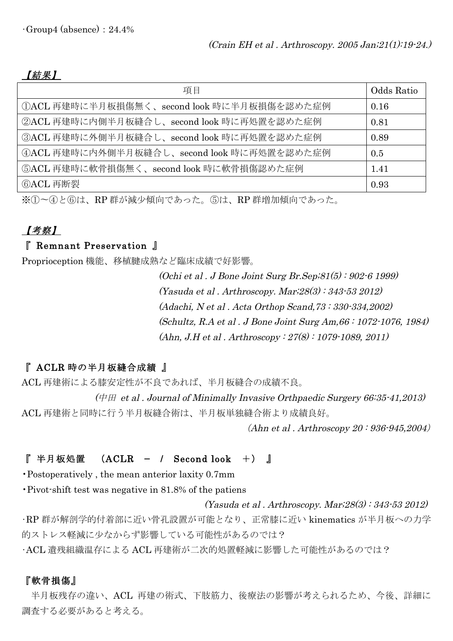### 【結果】

| 項目                                             | Odds Ratio |
|------------------------------------------------|------------|
| second look 時に半月板損傷を認めた症例<br>1ACL 再建時に半月板損傷無く、 | 0.16       |
| ②ACL 再建時に内側半月板縫合し、second look 時に再処置を認めた症例      | 0.81       |
| 3ACL 再建時に外側半月板縫合し、second look 時に再処置を認めた症例      | 0.89       |
| 4ACL 再建時に内外側半月板縫合し、second look 時に再処置を認めた症例     | 0.5        |
| 5ACL 再建時に軟骨損傷無く、second look 時に軟骨損傷認めた症例        | 1.41       |
| ⑥ACL 再断裂                                       | 0.93       |

※①〜④と⑥は、RP 群が減少傾向であった。⑤は、RP 群増加傾向であった。

## 【考察】

### 『 Remnant Preservation 』

Proprioception 機能、移植腱成熟など臨床成績で好影響。

(Ochi et al . J Bone Joint Surg Br.Sep;81(5) : 902-6 1999) (Yasuda et al . Arthroscopy. Mar;28(3) : 343-53 2012) (Adachi, N et al . Acta Orthop Scand,73 : 330-334,2002) (Schultz, R.A et al . J Bone Joint Surg Am,66 : 1072-1076, 1984) (Ahn, J.H et al . Arthroscopy : 27(8) : 1079-1089, 2011)

### 『 ACLR 時の半月板縫合成績 』

ACL 再建術による膝安定性が不良であれば、半月板縫合の成績不良。

(中田 et al . Journal of Minimally Invasive Orthpaedic Surgery 66:35-41,2013) ACL 再建術と同時に行う半月板縫合術は、半月板単独縫合術より成績良好。

(Ahn et al . Arthroscopy 20 : 936-945,2004)

### 『 半月板処置 (ACLR − / Second look +) 』

•Postoperatively , the mean anterior laxity 0.7mm

•Pivot-shift test was negative in 81.8% of the patiens

(Yasuda et al . Arthroscopy. Mar;28(3) : 343-53 2012) •RP 群が解剖学的付着部に近い骨孔設置が可能となり、正常膝に近い kinematics が半月板への力学 的ストレス軽減に少なからず影響している可能性があるのでは?

•ACL 遺残組織温存による ACL 再建術が二次的処置軽減に影響した可能性があるのでは?

### 『軟骨損傷』

半月板残存の違い、ACL 再建の術式、下肢筋力、後療法の影響が考えられるため、今後、詳細に 調査する必要があると考える。